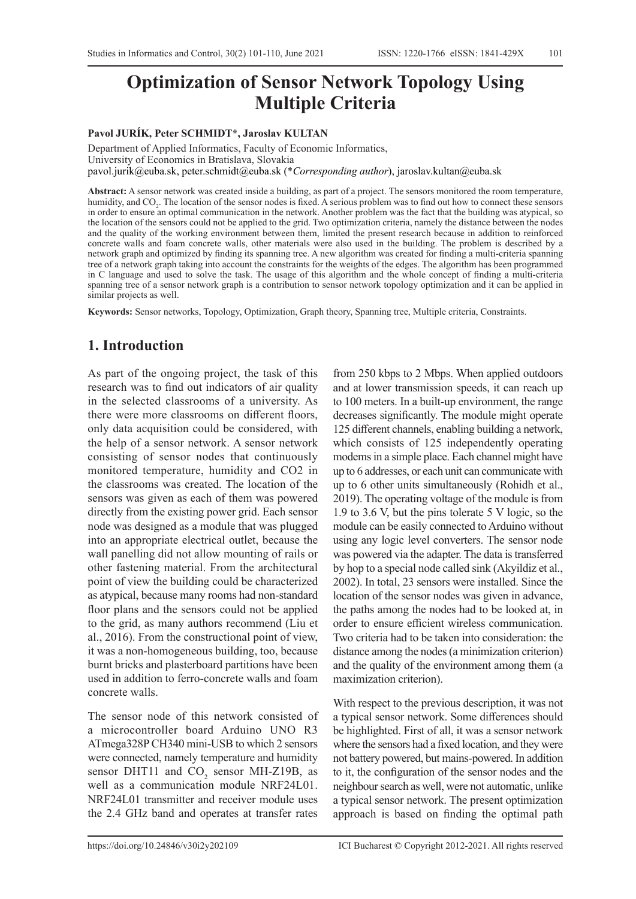# **Optimization of Sensor Network Topology Using Multiple Criteria**

#### **Pavol JURÍK, Peter SCHMIDT\*, Jaroslav KULTAN**

Department of Applied Informatics, Faculty of Economic Informatics, University of Economics in Bratislava, Slovakia pavol.jurik@euba.sk, peter.schmidt@euba.sk (\**Corresponding author*), jaroslav.kultan@euba.sk

**Abstract:** A sensor network was created inside a building, as part of a project. The sensors monitored the room temperature, humidity, and CO<sub>2</sub>. The location of the sensor nodes is fixed. A serious problem was to find out how to connect these sensors in order to ensure an optimal communication in the network. Another problem was the fact that the building was atypical, so the location of the sensors could not be applied to the grid. Two optimization criteria, namely the distance between the nodes and the quality of the working environment between them, limited the present research because in addition to reinforced concrete walls and foam concrete walls, other materials were also used in the building. The problem is described by a network graph and optimized by finding its spanning tree. A new algorithm was created for finding a multi-criteria spanning tree of a network graph taking into account the constraints for the weights of the edges. The algorithm has been programmed in C language and used to solve the task. The usage of this algorithm and the whole concept of finding a multi-criteria spanning tree of a sensor network graph is a contribution to sensor network topology optimization and it can be applied in similar projects as well.

**Keywords:** Sensor networks, Topology, Optimization, Graph theory, Spanning tree, Multiple criteria, Constraints.

### **1. Introduction**

As part of the ongoing project, the task of this research was to find out indicators of air quality in the selected classrooms of a university. As there were more classrooms on different floors, only data acquisition could be considered, with the help of a sensor network. A sensor network consisting of sensor nodes that continuously monitored temperature, humidity and CO2 in the classrooms was created. The location of the sensors was given as each of them was powered directly from the existing power grid. Each sensor node was designed as a module that was plugged into an appropriate electrical outlet, because the wall panelling did not allow mounting of rails or other fastening material. From the architectural point of view the building could be characterized as atypical, because many rooms had non-standard floor plans and the sensors could not be applied to the grid, as many authors recommend (Liu et al., 2016). From the constructional point of view, it was a non-homogeneous building, too, because burnt bricks and plasterboard partitions have been used in addition to ferro-concrete walls and foam concrete walls.

The sensor node of this network consisted of a microcontroller board Arduino UNO R3 ATmega328P CH340 mini-USB to which 2 sensors were connected, namely temperature and humidity sensor DHT11 and  $CO_2$  sensor MH-Z19B, as well as a communication module NRF24L01. NRF24L01 transmitter and receiver module uses the 2.4 GHz band and operates at transfer rates

from 250 kbps to 2 Mbps. When applied outdoors and at lower transmission speeds, it can reach up to 100 meters. In a built-up environment, the range decreases significantly. The module might operate 125 different channels, enabling building a network, which consists of 125 independently operating modems in a simple place. Each channel might have up to 6 addresses, or each unit can communicate with up to 6 other units simultaneously (Rohidh et al., 2019). The operating voltage of the module is from 1.9 to 3.6 V, but the pins tolerate 5 V logic, so the module can be easily connected to Arduino without using any logic level converters. The sensor node was powered via the adapter. The data is transferred by hop to a special node called sink (Akyildiz et al., 2002). In total, 23 sensors were installed. Since the location of the sensor nodes was given in advance, the paths among the nodes had to be looked at, in order to ensure efficient wireless communication. Two criteria had to be taken into consideration: the distance among the nodes (a minimization criterion) and the quality of the environment among them (a maximization criterion).

With respect to the previous description, it was not a typical sensor network. Some differences should be highlighted. First of all, it was a sensor network where the sensors had a fixed location, and they were not battery powered, but mains-powered. In addition to it, the configuration of the sensor nodes and the neighbour search as well, were not automatic, unlike a typical sensor network. The present optimization approach is based on finding the optimal path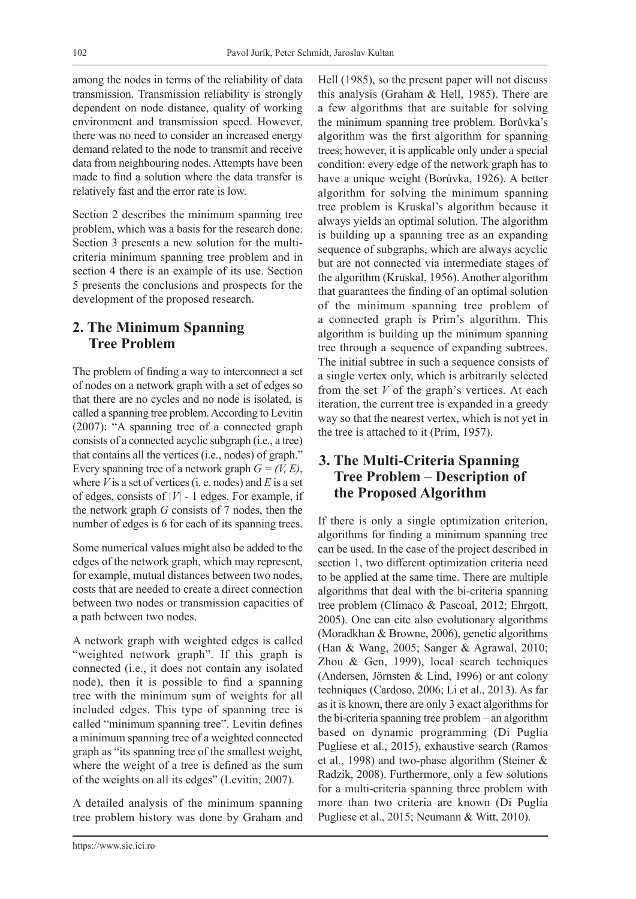among the nodes in terms of the reliability of data transmission. Transmission reliability is strongly dependent on node distance, quality of working environment and transmission speed. However, there was no need to consider an increased energy demand related to the node to transmit and receive data from neighbouring nodes. Attempts have been made to find a solution where the data transfer is relatively fast and the error rate is low.

Section 2 describes the minimum spanning tree problem, which was a basis for the research done. Section 3 presents a new solution for the multicriteria minimum spanning tree problem and in section 4 there is an example of its use. Section 5 presents the conclusions and prospects for the development of the proposed research.

# **2. The Minimum Spanning Tree Problem**

The problem of finding a way to interconnect a set of nodes on a network graph with a set of edges so that there are no cycles and no node is isolated, is called a spanning tree problem. According to Levitin (2007): "A spanning tree of a connected graph consists of a connected acyclic subgraph (i.e., a tree) that contains all the vertices (i.e., nodes) of graph." Every spanning tree of a network graph  $G = (V, E)$ , where  $V$  is a set of vertices (i. e. nodes) and  $E$  is a set of edges, consists of *|V|* - 1 edges. For example, if the network graph *G* consists of 7 nodes, then the number of edges is 6 for each of its spanning trees.

Some numerical values might also be added to the edges of the network graph, which may represent, for example, mutual distances between two nodes, costs that are needed to create a direct connection between two nodes or transmission capacities of a path between two nodes.

A network graph with weighted edges is called "weighted network graph". If this graph is connected (i.e., it does not contain any isolated node), then it is possible to find a spanning tree with the minimum sum of weights for all included edges. This type of spanning tree is called "minimum spanning tree". Levitin defines a minimum spanning tree of a weighted connected graph as "its spanning tree of the smallest weight, where the weight of a tree is defined as the sum of the weights on all its edges" (Levitin, 2007).

A detailed analysis of the minimum spanning tree problem history was done by Graham and

https://www.sic.ici.ro

Hell (1985), so the present paper will not discuss this analysis (Graham & Hell, 1985). There are a few algorithms that are suitable for solving the minimum spanning tree problem. Borůvka's algorithm was the first algorithm for spanning trees; however, it is applicable only under a special condition: every edge of the network graph has to have a unique weight (Borůvka, 1926). A better algorithm for solving the minimum spanning tree problem is Kruskal's algorithm because it always yields an optimal solution. The algorithm is building up a spanning tree as an expanding sequence of subgraphs, which are always acyclic but are not connected via intermediate stages of the algorithm (Kruskal, 1956). Another algorithm that guarantees the finding of an optimal solution of the minimum spanning tree problem of a connected graph is Prim's algorithm. This algorithm is building up the minimum spanning tree through a sequence of expanding subtrees. The initial subtree in such a sequence consists of a single vertex only, which is arbitrarily selected from the set *V* of the graph's vertices. At each iteration, the current tree is expanded in a greedy way so that the nearest vertex, which is not yet in the tree is attached to it (Prim, 1957).

# **3. The Multi-Criteria Spanning Tree Problem – Description of the Proposed Algorithm**

If there is only a single optimization criterion, algorithms for finding a minimum spanning tree can be used. In the case of the project described in section 1, two different optimization criteria need to be applied at the same time. There are multiple algorithms that deal with the bi-criteria spanning tree problem (Clímaco & Pascoal, 2012; Ehrgott, 2005). One can cite also evolutionary algorithms (Moradkhan & Browne, 2006), genetic algorithms (Han & Wang, 2005; Sanger & Agrawal, 2010; Zhou & Gen, 1999), local search techniques (Andersen, Jörnsten & Lind, 1996) or ant colony techniques (Cardoso, 2006; Li et al., 2013). As far as it is known, there are only 3 exact algorithms for the bi-criteria spanning tree problem – an algorithm based on dynamic programming (Di Puglia Pugliese et al., 2015), exhaustive search (Ramos et al., 1998) and two-phase algorithm (Steiner & Radzik, 2008). Furthermore, only a few solutions for a multi-criteria spanning three problem with more than two criteria are known (Di Puglia Pugliese et al., 2015; Neumann & Witt, 2010).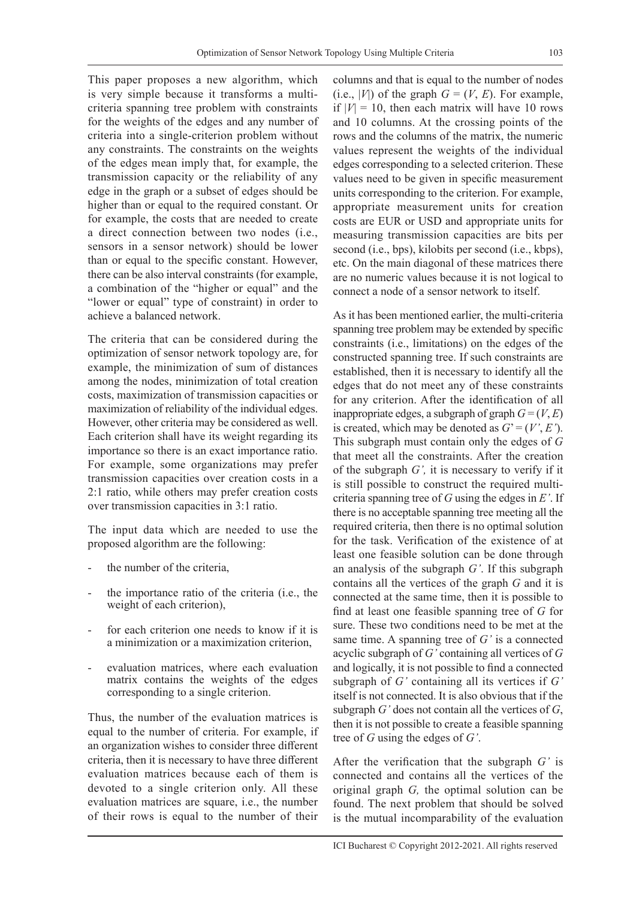This paper proposes a new algorithm, which is very simple because it transforms a multicriteria spanning tree problem with constraints for the weights of the edges and any number of criteria into a single-criterion problem without any constraints. The constraints on the weights of the edges mean imply that, for example, the transmission capacity or the reliability of any edge in the graph or a subset of edges should be higher than or equal to the required constant. Or for example, the costs that are needed to create a direct connection between two nodes (i.e., sensors in a sensor network) should be lower than or equal to the specific constant. However, there can be also interval constraints (for example, a combination of the "higher or equal" and the "lower or equal" type of constraint) in order to achieve a balanced network.

The criteria that can be considered during the optimization of sensor network topology are, for example, the minimization of sum of distances among the nodes, minimization of total creation costs, maximization of transmission capacities or maximization of reliability of the individual edges. However, other criteria may be considered as well. Each criterion shall have its weight regarding its importance so there is an exact importance ratio. For example, some organizations may prefer transmission capacities over creation costs in a 2:1 ratio, while others may prefer creation costs over transmission capacities in 3:1 ratio.

The input data which are needed to use the proposed algorithm are the following:

- the number of the criteria,
- the importance ratio of the criteria (i.e., the weight of each criterion),
- for each criterion one needs to know if it is a minimization or a maximization criterion,
- evaluation matrices, where each evaluation matrix contains the weights of the edges corresponding to a single criterion.

Thus, the number of the evaluation matrices is equal to the number of criteria. For example, if an organization wishes to consider three different criteria, then it is necessary to have three different evaluation matrices because each of them is devoted to a single criterion only. All these evaluation matrices are square, i.e., the number of their rows is equal to the number of their

columns and that is equal to the number of nodes (i.e.,  $|V|$ ) of the graph  $G = (V, E)$ . For example, if  $|V| = 10$ , then each matrix will have 10 rows and 10 columns. At the crossing points of the rows and the columns of the matrix, the numeric values represent the weights of the individual edges corresponding to a selected criterion. These values need to be given in specific measurement units corresponding to the criterion. For example, appropriate measurement units for creation costs are EUR or USD and appropriate units for measuring transmission capacities are bits per second (i.e., bps), kilobits per second (i.e., kbps), etc. On the main diagonal of these matrices there are no numeric values because it is not logical to connect a node of a sensor network to itself.

As it has been mentioned earlier, the multi-criteria spanning tree problem may be extended by specific constraints (i.e., limitations) on the edges of the constructed spanning tree. If such constraints are established, then it is necessary to identify all the edges that do not meet any of these constraints for any criterion. After the identification of all inappropriate edges, a subgraph of graph  $G = (V, E)$ is created, which may be denoted as  $G' = (V', E')$ . This subgraph must contain only the edges of *G* that meet all the constraints. After the creation of the subgraph *G',* it is necessary to verify if it is still possible to construct the required multicriteria spanning tree of *G* using the edges in *E'*. If there is no acceptable spanning tree meeting all the required criteria, then there is no optimal solution for the task. Verification of the existence of at least one feasible solution can be done through an analysis of the subgraph *G'*. If this subgraph contains all the vertices of the graph *G* and it is connected at the same time, then it is possible to find at least one feasible spanning tree of *G* for sure. These two conditions need to be met at the same time. A spanning tree of *G'* is a connected acyclic subgraph of *G'* containing all vertices of *G* and logically, it is not possible to find a connected subgraph of *G'* containing all its vertices if *G'* itself is not connected. It is also obvious that if the subgraph *G'* does not contain all the vertices of *G*, then it is not possible to create a feasible spanning tree of *G* using the edges of *G'*.

After the verification that the subgraph *G'* is connected and contains all the vertices of the original graph *G,* the optimal solution can be found. The next problem that should be solved is the mutual incomparability of the evaluation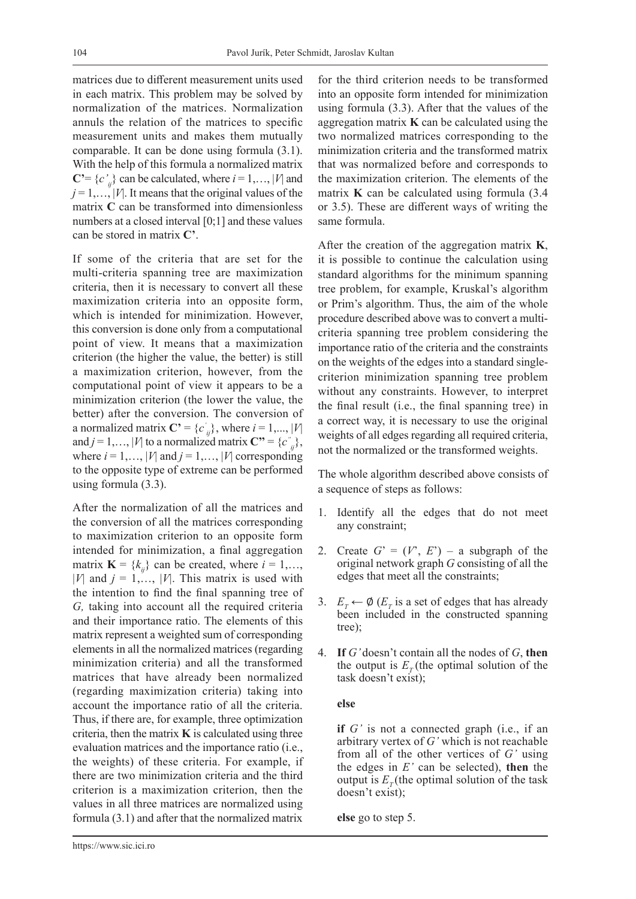matrices due to different measurement units used in each matrix. This problem may be solved by normalization of the matrices. Normalization annuls the relation of the matrices to specific measurement units and makes them mutually comparable. It can be done using formula (3.1). With the help of this formula a normalized matrix  $C' = \{c'_{ij}\}\$ can be calculated, where  $i = 1,..., |V|$  and  $j = 1, \ldots, |V|$ . It means that the original values of the matrix **C** can be transformed into dimensionless numbers at a closed interval [0;1] and these values can be stored in matrix **C'**.

If some of the criteria that are set for the multi-criteria spanning tree are maximization criteria, then it is necessary to convert all these maximization criteria into an opposite form, which is intended for minimization. However, this conversion is done only from a computational point of view. It means that a maximization criterion (the higher the value, the better) is still a maximization criterion, however, from the computational point of view it appears to be a minimization criterion (the lower the value, the better) after the conversion. The conversion of a normalized matrix  $\mathbf{C'} = \{c'_{ij}\}\$ , where  $i = 1, ..., |V|$ and *j* = 1,..., |*V*| to a normalized matrix  $\mathbf{C}^{"} = \{c^{"}_{ij}\},$ where  $i = 1, \ldots, |V|$  and  $j = 1, \ldots, |V|$  corresponding to the opposite type of extreme can be performed using formula (3.3).

After the normalization of all the matrices and the conversion of all the matrices corresponding to maximization criterion to an opposite form intended for minimization, a final aggregation matrix  $\mathbf{K} = \{k_{ij}\}\)$  can be created, where  $i = 1, \ldots,$ |*V*| and  $j = 1, \ldots, |V|$ . This matrix is used with the intention to find the final spanning tree of *G,* taking into account all the required criteria and their importance ratio. The elements of this matrix represent a weighted sum of corresponding elements in all the normalized matrices (regarding minimization criteria) and all the transformed matrices that have already been normalized (regarding maximization criteria) taking into account the importance ratio of all the criteria. Thus, if there are, for example, three optimization criteria, then the matrix  $\bf{K}$  is calculated using three evaluation matrices and the importance ratio (i.e., the weights) of these criteria. For example, if there are two minimization criteria and the third criterion is a maximization criterion, then the values in all three matrices are normalized using formula (3.1) and after that the normalized matrix

for the third criterion needs to be transformed into an opposite form intended for minimization using formula (3.3). After that the values of the aggregation matrix **K** can be calculated using the two normalized matrices corresponding to the minimization criteria and the transformed matrix that was normalized before and corresponds to the maximization criterion. The elements of the matrix **K** can be calculated using formula (3.4 or 3.5). These are different ways of writing the same formula.

After the creation of the aggregation matrix **K**, it is possible to continue the calculation using standard algorithms for the minimum spanning tree problem, for example, Kruskal's algorithm or Prim's algorithm. Thus, the aim of the whole procedure described above was to convert a multicriteria spanning tree problem considering the importance ratio of the criteria and the constraints on the weights of the edges into a standard singlecriterion minimization spanning tree problem without any constraints. However, to interpret the final result (i.e., the final spanning tree) in a correct way, it is necessary to use the original weights of all edges regarding all required criteria, not the normalized or the transformed weights.

The whole algorithm described above consists of a sequence of steps as follows:

- 1. Identify all the edges that do not meet any constraint;
- 2. Create  $G' = (V', E') a$  subgraph of the original network graph *G* consisting of all the edges that meet all the constraints;
- 3.  $E_T \leftarrow \emptyset$  ( $E_T$  is a set of edges that has already been included in the constructed spanning tree);
- 4. **If** *G'* doesn't contain all the nodes of *G*, **then** the output is  $E<sub>r</sub>$  (the optimal solution of the task doesn't exist);

#### **else**

**if** *G'* is not a connected graph (i.e., if an arbitrary vertex of *G'* which is not reachable from all of the other vertices of *G'* using the edges in *E'* can be selected), **then** the output is  $E_r$ (the optimal solution of the task doesn't exist);

**else** go to step 5.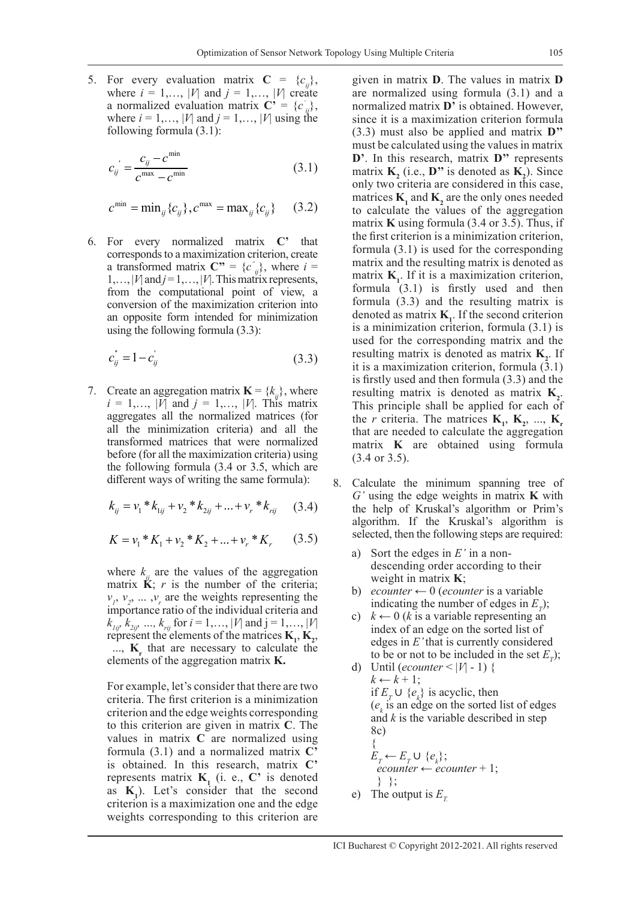5. For every evaluation matrix  $C = \{c_{ij}\},\$ where  $i = 1,..., |V|$  and  $j = 1,..., |V|$  create a normalized evaluation matrix  $\mathbf{C}' = \{c'_{ij}\},\$ where  $i = 1, \ldots, |V|$  and  $j = 1, \ldots, |V|$  using the following formula (3.1):

$$
c_{ij} = \frac{c_{ij} - c^{\min}}{c^{\max} - c^{\min}}
$$
 (3.1)

$$
c^{\min} = \min_{ij} \{c_{ij}\}, c^{\max} = \max_{ij} \{c_{ij}\}
$$
 (3.2)

6. For every normalized matrix **C'** that corresponds to a maximization criterion, create a transformed matrix  $\mathbf{C}'' = \{c''_{ij}\}\text{, where } i =$  $1,..., |V|$  and  $j = 1,..., |V|$ . This matrix represents, from the computational point of view, a conversion of the maximization criterion into an opposite form intended for minimization using the following formula (3.3):

$$
c_{ij}^{\dagger} = 1 - c_{ij}^{\dagger} \tag{3.3}
$$

7. Create an aggregation matrix  $\mathbf{K} = \{k_{ii}\},\$  where  $i = 1,..., |V|$  and  $j = 1,..., |V|$ . This matrix aggregates all the normalized matrices (for all the minimization criteria) and all the transformed matrices that were normalized before (for all the maximization criteria) using the following formula (3.4 or 3.5, which are different ways of writing the same formula):

$$
k_{ij} = v_1 * k_{1ij} + v_2 * k_{2ij} + \dots + v_r * k_{rij}
$$
 (3.4)

$$
K = v_1 * K_1 + v_2 * K_2 + \dots + v_r * K_r \qquad (3.5)
$$

where  $k_{ii}$  are the values of the aggregation matrix  $\ddot{\mathbf{K}}$ ; *r* is the number of the criteria;  $v_1, v_2, \dots, v_r$  are the weights representing the importance ratio of the individual criteria and  $k_{1i}$ ,  $k_{2i}$ , ...,  $k_{ri}$  for  $i = 1,..., |V|$  and  $j = 1,..., |V|$ represent the elements of the matrices  $K_1, K_2,$ ..., **K**<sub>r</sub> that are necessary to calculate the elements of the aggregation matrix **K.**

For example, let's consider that there are two criteria. The first criterion is a minimization criterion and the edge weights corresponding to this criterion are given in matrix **C**. The values in matrix **C** are normalized using formula (3.1) and a normalized matrix **C'** is obtained. In this research, matrix **C'** represents matrix  $\mathbf{K}_1$  (i. e.,  $\mathbf{C}'$  is denoted as  $K_1$ ). Let's consider that the second criterion is a maximization one and the edge weights corresponding to this criterion are

given in matrix **D**. The values in matrix **D** are normalized using formula (3.1) and a normalized matrix **D'** is obtained. However, since it is a maximization criterion formula (3.3) must also be applied and matrix **D''** must be calculated using the values in matrix **D'**. In this research, matrix **D''** represents matrix  $\mathbf{K}_2$  (i.e., **D**" is denoted as  $\mathbf{K}_2$ ). Since only two criteria are considered in this case, matrices  $\mathbf{K}_1$  and  $\mathbf{K}_2$  are the only ones needed to calculate the values of the aggregation matrix **K** using formula (3.4 or 3.5). Thus, if the first criterion is a minimization criterion, formula (3.1) is used for the corresponding matrix and the resulting matrix is denoted as matrix  $K_1$ . If it is a maximization criterion, formula (3.1) is firstly used and then formula (3.3) and the resulting matrix is denoted as matrix  $\mathbf{K}_1$ . If the second criterion is a minimization criterion, formula (3.1) is used for the corresponding matrix and the resulting matrix is denoted as matrix  $K_2$ . If it is a maximization criterion, formula (3.1) is firstly used and then formula (3.3) and the resulting matrix is denoted as matrix  $K_2$ . This principle shall be applied for each of the *r* criteria. The matrices  $\mathbf{K}_1$ ,  $\mathbf{K}_2$ , ...,  $\mathbf{K}_1$ that are needed to calculate the aggregation matrix **K** are obtained using formula (3.4 or 3.5).

- 8. Calculate the minimum spanning tree of *G'* using the edge weights in matrix **K** with the help of Kruskal's algorithm or Prim's algorithm. If the Kruskal's algorithm is selected, then the following steps are required:
	- a) Sort the edges in *E'* in a nondescending order according to their weight in matrix **K**;
	- b) *ecounter*  $\leftarrow 0$  (*ecounter* is a variable indicating the number of edges in  $E_T$ );
	- c)  $k \leftarrow 0$  (*k* is a variable representing an index of an edge on the sorted list of edges in *E'* that is currently considered to be or not to be included in the set  $E_T$ );
	- d) Until (*ecounter*  $\lt |V| 1$ ) {  $k \leftarrow k + 1$ ; if  $E_T$ ∪  $\{e_k\}$  is acyclic, then  $(e_k)$  is an edge on the sorted list of edges and *k* is the variable described in step 8c) {  $E_T \leftarrow E_T \cup \{e_k\};$  $ecounter \leftarrow ecounter + 1;$ } };
	- e) The output is  $E<sub>r</sub>$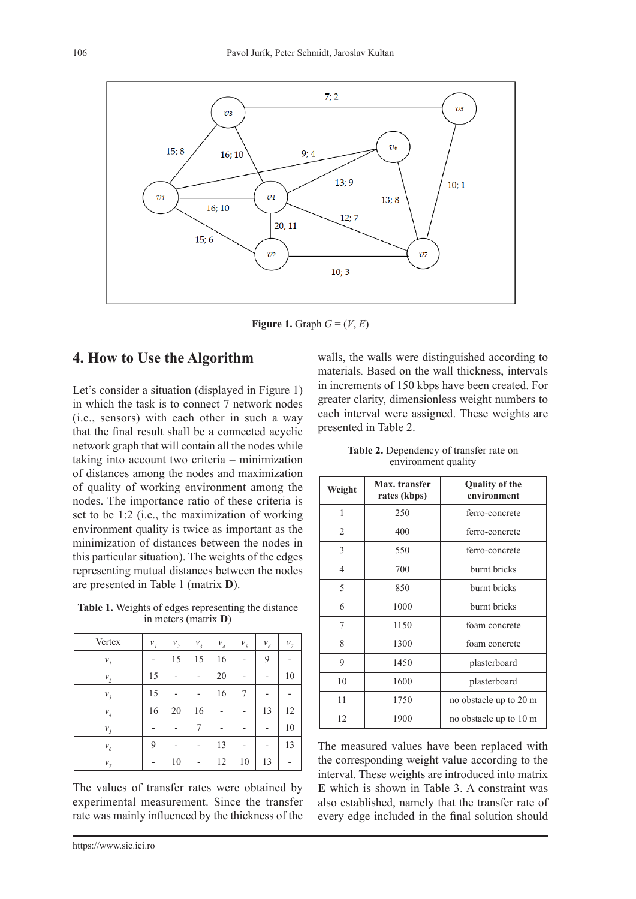

**Figure 1.** Graph  $G = (V, E)$ 

### **4. How to Use the Algorithm**

Let's consider a situation (displayed in Figure 1) in which the task is to connect 7 network nodes (i.e., sensors) with each other in such a way that the final result shall be a connected acyclic network graph that will contain all the nodes while taking into account two criteria – minimization of distances among the nodes and maximization of quality of working environment among the nodes. The importance ratio of these criteria is set to be 1:2 (i.e., the maximization of working environment quality is twice as important as the minimization of distances between the nodes in this particular situation). The weights of the edges representing mutual distances between the nodes are presented in Table 1 (matrix **D**).

**Table 1.** Weights of edges representing the distance in meters (matrix **D**)

| Vertex                       | $v_{I}$ | $\mathcal{V}_{2}$ | $\mathcal{V}_{\mathfrak{z}}$ | $\mathcal{V}_4$ | $\mathcal{V}_5$ | $\mathcal{V}_6$          | $v_{7}$ |
|------------------------------|---------|-------------------|------------------------------|-----------------|-----------------|--------------------------|---------|
| $\mathcal{V}_I$              |         | 15                | 15                           | 16              |                 | 9                        |         |
| $\mathcal{V}_{2}$            | 15      |                   |                              | 20              |                 |                          | 10      |
| $\mathcal{V}_{\mathfrak{z}}$ | 15      |                   |                              | 16              | 7               |                          |         |
| $\mathcal{V}_{_d}$           | 16      | 20                | 16                           |                 |                 | 13                       | 12      |
| $\mathcal{V}_5$              |         |                   | 7                            |                 |                 |                          | 10      |
| $\mathcal{V}_6$              | 9       |                   | -                            | 13              |                 | $\overline{\phantom{0}}$ | 13      |
| $v_{7}$                      |         | 10                |                              | 12              | 10              | 13                       |         |

The values of transfer rates were obtained by experimental measurement. Since the transfer rate was mainly influenced by the thickness of the

https://www.sic.ici.ro

walls, the walls were distinguished according to materials. Based on the wall thickness, intervals in increments of 150 kbps have been created. For greater clarity, dimensionless weight numbers to each interval were assigned. These weights are presented in Table 2.

**Table 2.** Dependency of transfer rate on environment quality

| Weight | Max. transfer<br>rates (kbps) | <b>Quality of the</b><br>environment |  |  |
|--------|-------------------------------|--------------------------------------|--|--|
| 1      | 250                           | ferro-concrete                       |  |  |
| 2      | 400                           | ferro-concrete                       |  |  |
| 3      | 550                           | ferro-concrete                       |  |  |
| 4      | 700                           | burnt bricks                         |  |  |
| 5      | 850                           | burnt bricks                         |  |  |
| 6      | 1000                          | burnt bricks                         |  |  |
| 7      | 1150                          | foam concrete                        |  |  |
| 8      | 1300                          | foam concrete                        |  |  |
| 9      | 1450                          | plasterboard                         |  |  |
| 10     | 1600                          | plasterboard                         |  |  |
| 11     | 1750                          | no obstacle up to 20 m               |  |  |
| 12     | 1900                          | no obstacle up to 10 m               |  |  |

The measured values have been replaced with the corresponding weight value according to the interval. These weights are introduced into matrix **E** which is shown in Table 3. A constraint was also established, namely that the transfer rate of every edge included in the final solution should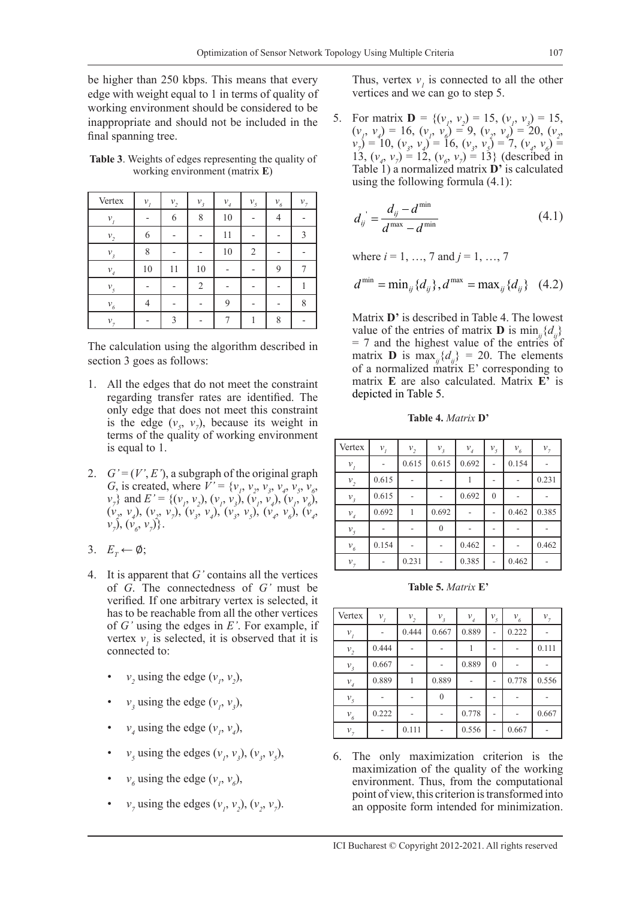be higher than 250 kbps. This means that every edge with weight equal to 1 in terms of quality of working environment should be considered to be inappropriate and should not be included in the final spanning tree.

| Table 3. Weights of edges representing the quality of |                                |  |  |  |
|-------------------------------------------------------|--------------------------------|--|--|--|
|                                                       | working environment (matrix E) |  |  |  |

| Vertex             | $\mathcal{V}_I$ | $\mathcal{V}_{2}$ | $\mathcal{V}_{\mathfrak{z}}$ | $\mathcal{V}_{_4}$ | $v_{5}$        | $\mathcal{V}_6$ | $v_{7}$ |
|--------------------|-----------------|-------------------|------------------------------|--------------------|----------------|-----------------|---------|
| $\mathcal{V}_I$    |                 | 6                 | 8                            | 10                 |                | 4               |         |
| $\mathcal{V}_{2}$  | 6               |                   |                              | 11                 |                |                 | 3       |
| $v_{\rm{3}}$       | 8               |                   |                              | 10                 | $\overline{2}$ |                 |         |
| $\mathcal{V}_{_A}$ | 10              | 11                | 10                           | -                  |                | 9               |         |
| $\mathcal{V}_5$    |                 |                   | $\overline{2}$               |                    |                |                 |         |
| $\mathcal{V}_6$    | 4               |                   |                              | 9                  |                |                 | 8       |
| v <sub>7</sub>     |                 | 3                 |                              |                    |                | 8               |         |

The calculation using the algorithm described in section 3 goes as follows:

- 1. All the edges that do not meet the constraint regarding transfer rates are identified. The only edge that does not meet this constraint is the edge  $(v_5, v_7)$ , because its weight in terms of the quality of working environment is equal to 1.
- 2.  $G' = (V', E')$ , a subgraph of the original graph *G*, is created, where  $V' = \{v_1, v_2, v_3, v_4, v_5, v_6, v_7, v_8, v_9, v_{10}\}$  $v_7$ } and  $E' = \{ (v_1, v_2), (v_1, v_3), (v_1, v_4), (v_1, v_6), (v_2, v_7), (v_1, v_8), (v_1, v_9), (v_1, v_1), (v_2, v_2), (v_2, v_3), (v_1, v_4), (v_2, v_4), (v_2, v_4), (v_3, v_5), (v_3, v_6), (v_3, v_7), (v_3, v_8), (v_3, v_9), (v_3, v_9), (v_3, v_9), (v_3, v_9), (v_3, v_9), (v_3, v$  $(v_2, v_4)$ ,  $(v_2, v_7)$ ,  $(v_3, v_4)$ ,  $(v_3, v_5)$ ,  $(v_4, v_6)$ ,  $(v_4, v_7)$  $v_7$ ),  $(v_6, v_7)$ }.
- 3.  $E_T \leftarrow \emptyset;$
- 4. It is apparent that *G'* contains all the vertices of *G*. The connectedness of *G'* must be verified*.* If one arbitrary vertex is selected, it has to be reachable from all the other vertices of *G'* using the edges in *E'*. For example, if vertex  $v_i$  is selected, it is observed that it is connected to:
	- $v_2$  using the edge  $(v_1, v_2)$ ,
	- $v_3$  using the edge  $(v_1, v_3)$ ,
	- $v_4$  using the edge  $(v_1, v_4)$ ,
	- $v_5$  using the edges  $(v_1, v_3)$ ,  $(v_3, v_5)$ ,
	- $v_6$  using the edge  $(v_1, v_6)$ ,
	- *v<sub>7</sub>* using the edges  $(v_1, v_2), (v_2, v_7)$ .

Thus, vertex  $v_i$  is connected to all the other vertices and we can go to step 5.

5. For matrix **D** = { $(v_1, v_2) = 15$ ,  $(v_1, v_3) = 15$ ,  $(v_1, v_4) = 16$ ,  $(v_1, v_6) = 9$ ,  $(v_2, v_4) = 20$ ,  $(v_2, v_5)$  $v_7$ ) = 10,  $(v_3, v_4)$  = 16,  $(v_3, v_5)$  = 7,  $(v_4, v_6)$  = 13,  $(v_4, v_7) = 12$ ,  $(v_6, v_7) = 13$ } (described in Table 1) a normalized matrix **D'** is calculated using the following formula (4.1):

$$
d_{ij} = \frac{d_{ij} - d^{\min}}{d^{\max} - d^{\min}} \tag{4.1}
$$

where  $i = 1, ..., 7$  and  $j = 1, ..., 7$ 

$$
d^{\min} = \min_{ij} \{d_{ij}\}, d^{\max} = \max_{ij} \{d_{ij}\} \quad (4.2)
$$

Matrix **D'** is described in Table 4. The lowest value of the entries of matrix **D** is min<sub>ij</sub>{ $d_{ii}$ }  $= 7$  and the highest value of the entries of matrix **D** is max<sub>*ii*</sub>{ $d_{ii}$ } = 20. The elements of a normalized matrix E' corresponding to matrix **E** are also calculated. Matrix **E'** is depicted in Table 5.

**Table 4.** *Matrix* **D'**

| Vertex                       | $\mathcal{V}_I$ | $\mathcal{V}_{2}$ | $v_{3}$  | $\mathcal{V}_{_A}$ | $\mathcal{V}_5$ | $\mathcal{V}_6$ | $\mathcal{V}_7$ |
|------------------------------|-----------------|-------------------|----------|--------------------|-----------------|-----------------|-----------------|
| $\mathcal{V}_I$              |                 | 0.615             | 0.615    | 0.692              |                 | 0.154           |                 |
| $\mathcal{V}_{2}$            | 0.615           |                   |          |                    |                 |                 | 0.231           |
| $\mathcal{V}_{\mathfrak{z}}$ | 0.615           |                   |          | 0.692              | $\mathbf{0}$    |                 |                 |
| $\mathcal{V}_{_A}$           | 0.692           |                   | 0.692    |                    |                 | 0.462           | 0.385           |
| $\mathcal{V}_5$              |                 |                   | $\theta$ |                    |                 |                 |                 |
| $\mathcal{V}_6$              | 0.154           |                   |          | 0.462              | ٠               |                 | 0.462           |
| $v_{7}$                      |                 | 0.231             |          | 0.385              |                 | 0.462           |                 |

**Table 5.** *Matrix* **E'**

| Vertex                       | $\mathcal{V}_I$ | $\mathcal{V}_{2}$ | $\mathcal{V}_{\mathfrak{z}}$ | $\mathcal{V}_{_4}$ | $v_{\rm s}$  | $\mathcal{V}_6$ | $\mathcal{V}_7$ |
|------------------------------|-----------------|-------------------|------------------------------|--------------------|--------------|-----------------|-----------------|
| $\boldsymbol{\nu}_l$         |                 | 0.444             | 0.667                        | 0.889              |              | 0.222           |                 |
| $\mathcal{V}_{2}$            | 0.444           |                   |                              |                    |              |                 | 0.111           |
| $\mathcal{V}_{\mathfrak{z}}$ | 0.667           |                   |                              | 0.889              | $\mathbf{0}$ |                 |                 |
| $\mathcal{V}_{_A}$           | 0.889           |                   | 0.889                        |                    |              | 0.778           | 0.556           |
| $\mathcal{V}_5$              |                 |                   | $\theta$                     |                    |              |                 |                 |
| $\mathcal{V}_6$              | 0.222           |                   |                              | 0.778              |              |                 | 0.667           |
| $v_{7}$                      |                 | 0.111             |                              | 0.556              |              | 0.667           |                 |

6. The only maximization criterion is the maximization of the quality of the working environment. Thus, from the computational point of view, this criterion is transformed into an opposite form intended for minimization.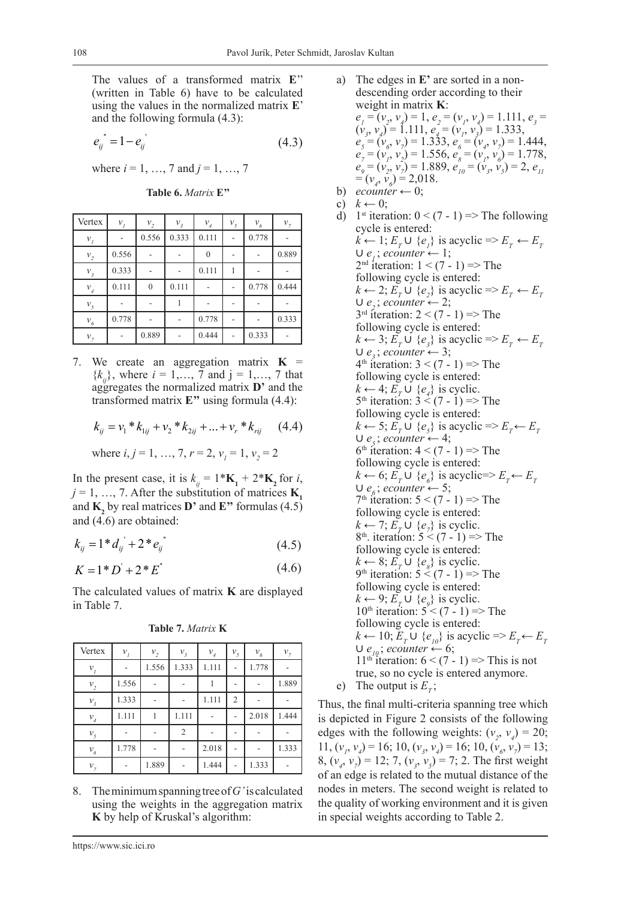The values of a transformed matrix **E**'' (written in Table 6) have to be calculated using the values in the normalized matrix **E**' and the following formula (4.3):

$$
e_{ij}^{\dagger} = 1 - e_{ij}^{\dagger} \tag{4.3}
$$

where *i* = 1, …, 7 and *j* = 1, …, 7

**Table 6.** *Matrix* **E''**

| Vertex                       | $\mathcal{V}_I$ | $\mathcal{V}_{2}$ | $\mathcal{V}_{\mathfrak{z}}$ | $\mathcal{V}_{_4}$ | $\mathcal{V}_5$ | $\mathcal{V}_6$ | $v_{\tau}$ |
|------------------------------|-----------------|-------------------|------------------------------|--------------------|-----------------|-----------------|------------|
| $v_{I}$                      |                 | 0.556             | 0.333                        | 0.111              |                 | 0.778           |            |
| $\mathcal{V}_{2}$            | 0.556           |                   |                              |                    |                 |                 | 0.889      |
| $\mathcal{V}_{\mathfrak{z}}$ | 0.333           |                   |                              | 0.111              |                 |                 |            |
| $\mathcal{V}_{4}$            | 0.111           | $\overline{0}$    | 0.111                        |                    |                 | 0.778           | 0.444      |
| $\mathcal{V}_5$              |                 |                   |                              |                    |                 |                 |            |
| $\mathcal{V}_6$              | 0.778           |                   |                              | 0.778              |                 |                 | 0.333      |
| $v_{7}$                      |                 | 0.889             |                              | 0.444              |                 | 0.333           |            |

7. We create an aggregation matrix  $K =$  ${k_{ii}}$ , where  $i = 1,..., 7$  and  $j = 1,..., 7$  that aggregates the normalized matrix **D'** and the transformed matrix **E''** using formula (4.4):

$$
k_{ij} = v_1 * k_{1ij} + v_2 * k_{2ij} + \dots + v_r * k_{rij}
$$
 (4.4)

where 
$$
i, j = 1, ..., 7, r = 2, v_j = 1, v_j = 2
$$

In the present case, it is  $k_{ij} = 1 \cdot \mathbf{K}_1 + 2 \cdot \mathbf{K}_2$  for *i*,  $j = 1, \ldots, 7$ . After the substitution of matrices **K**<sub>1</sub> and **K2** by real matrices **D'** and **E''** formulas (4.5) and (4.6) are obtained:

$$
k_{ij} = 1 * d_{ij} + 2 * e_{ij}
$$
 (4.5)

$$
K = 1^* D' + 2^* E'
$$
 (4.6)

The calculated values of matrix **K** are displayed in Table 7.

**Table 7.** *Matrix* **K**

| Vertex                       | $\mathcal{V}_I$ | $\mathcal{V}_{2}$ | $\mathcal{V}_{\mathfrak{z}}$ | $\mathcal{V}_{_4}$ | $v_{\mathfrak{s}}$ | $\mathcal{V}_6$ | $v_{7}$ |
|------------------------------|-----------------|-------------------|------------------------------|--------------------|--------------------|-----------------|---------|
| $v_{I}$                      |                 | 1.556             | 1.333                        | 1.111              |                    | 1.778           |         |
| $\mathcal{V}_{2}$            | 1.556           |                   |                              |                    |                    |                 | 1.889   |
| $\mathcal{V}_{\mathfrak{z}}$ | 1.333           |                   |                              | 1.111              | $\overline{2}$     |                 |         |
| $\mathcal{V}_{_4}$           | 1.111           |                   | 1.111                        |                    |                    | 2.018           | 1.444   |
| $\mathcal{V}_5$              |                 |                   | $\overline{2}$               |                    |                    |                 |         |
| $\mathcal{V}_6$              | 1.778           |                   |                              | 2.018              |                    |                 | 1.333   |
| $\mathcal{V}_7$              |                 | 1.889             |                              | 1.444              |                    | 1.333           |         |

8. The minimum spanning tree of *G'* is calculated using the weights in the aggregation matrix **K** by help of Kruskal's algorithm:

- a) The edges in **E'** are sorted in a nondescending order according to their weight in matrix **K**:  $e_1 = (v_2, v_4) = 1, e_2 = (v_1, v_4) = 1.111, e_3 = 1.111$  $(v_3, v_4) = 1.111, e_4 = (v_1, v_3) = 1.333,$  $e_5 = (v_6, v_7) = 1.333, e_6 = (v_4, v_7) = 1.444,$  $e_7^{\prime} = (v_1, v_2) = 1.556, e_8^{\prime} = (v_1, v_6) = 1.778,$  $e_{9} = (v_{2}, v_{7}) = 1.889, e_{10} = (v_{3}, v_{5}) = 2, e_{11}$  $=(v_4, v_6) = 2{,}018.$ b) *ecounter*  $\leftarrow$  0;
- c)  $k \leftarrow 0$ ;
- d) 1<sup>st</sup> iteration:  $0 < (7 1)$  => The following cycle is entered:  $k \leftarrow 1; E_T \cup \{e_i\}$  is acyclic  $\Rightarrow E_T \leftarrow E_T$  $∪ e<sub>i</sub>; *ecounter* ← 1;$  $2<sup>nd</sup>$  iteration:  $1 < (7 - 1)$  => The following cycle is entered:  $k \leftarrow 2; E_T \cup \{e_2\}$  is acyclic  $\Rightarrow E_T \leftarrow E_T$  $∪ e<sub>2</sub>; *ecounter* ← 2;$  $3<sup>rd</sup>$  iteration:  $2 < (7 - 1)$  => The following cycle is entered:  $k \leftarrow 3; E_T \cup \{e_3\}$  is acyclic  $\Rightarrow E_T \leftarrow E_T$  $∪ e<sub>3</sub>; *ecounter* ← 3;$  $4<sup>th</sup>$  iteration:  $3 < (7 - 1)$  => The following cycle is entered:  $k \leftarrow 4; E_T \cup \{e_4\}$  is cyclic. 5<sup>th</sup> iteration:  $3 < (7 - 1)$  => The following cycle is entered:  $k \leftarrow 5; E_T \cup \{e_5\}$  is acyclic  $\Rightarrow E_T \leftarrow E_T$  $∪ e<sub>5</sub>; *ecounter* ← 4;$ 6<sup>th</sup> iteration:  $4 < (7 - 1)$  => The following cycle is entered:  $k \leftarrow 6; E_T \cup \{e_{\delta}\}\$ is acyclic=> $E_T \leftarrow E_T$  $∪ e<sub>6</sub>; *ecounter* ← 5;$  $7<sup>th</sup>$  iteration:  $5 < (7 - 1)$  => The following cycle is entered:  $k$  ← 7;  $E_T$  ∪  $\{e_7\}$  is cyclic.  $8<sup>th</sup>$ . iteration:  $5 < (7 - 1)$  => The following cycle is entered:  $k$  ← 8;  $E_T$  ∪  $\{e_8\}$  is cyclic. 9<sup>th</sup> iteration:  $5 \times (7 - 1) \implies$  The following cycle is entered:  $k$  ← 9;  $E_T$  ∪  $\{e_9\}$  is cyclic. 10<sup>th</sup> iteration:  $5 < (7 - 1)$  => The following cycle is entered:  $k$  ← 10;  $E_T$  ∪ { $e_{10}$ } is acyclic =>  $E_T$  ←  $E_T$  $∪ e_{10}$ ; *ecounter* ← 6;  $11<sup>th</sup>$  iteration:  $6 < (7 - 1)$  => This is not true, so no cycle is entered anymore. e) The output is  $E_r$ ;

Thus, the final multi-criteria spanning tree which is depicted in Figure 2 consists of the following edges with the following weights:  $(v_2, v_4) = 20$ ;  $11, (v_1, v_4) = 16; 10, (v_3, v_4) = 16; 10, (v_6, v_7) = 13;$ 8,  $(v_4, v_7) = 12$ ; 7,  $(v_3, v_5) = 7$ ; 2. The first weight of an edge is related to the mutual distance of the nodes in meters. The second weight is related to the quality of working environment and it is given in special weights according to Table 2.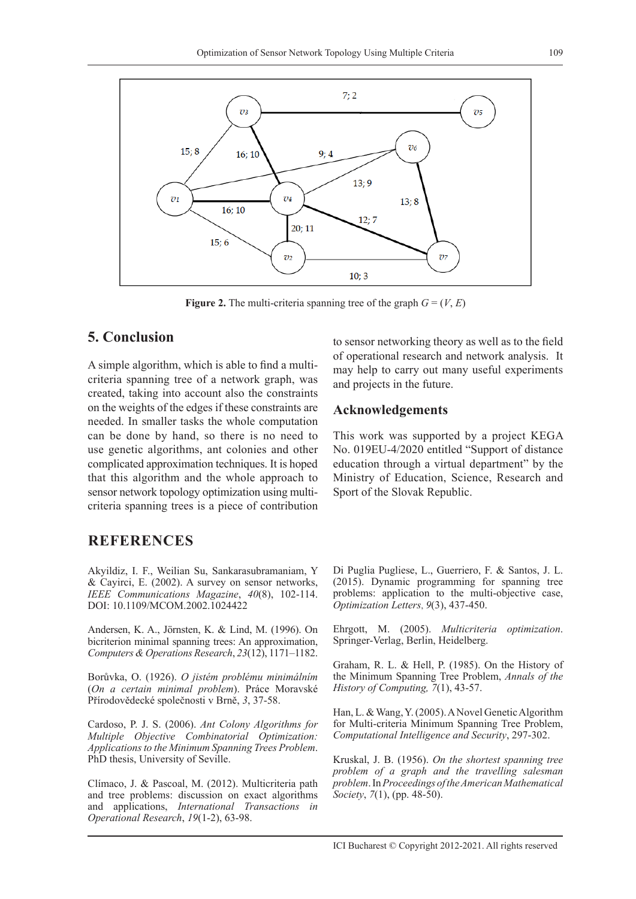

**Figure 2.** The multi-criteria spanning tree of the graph  $G = (V, E)$ 

## **5. Conclusion**

A simple algorithm, which is able to find a multicriteria spanning tree of a network graph, was created, taking into account also the constraints on the weights of the edges if these constraints are needed. In smaller tasks the whole computation can be done by hand, so there is no need to use genetic algorithms, ant colonies and other complicated approximation techniques. It is hoped that this algorithm and the whole approach to sensor network topology optimization using multicriteria spanning trees is a piece of contribution

### **REFERENCES**

Akyildiz, I. F., Weilian Su, Sankarasubramaniam, Y & Cayirci, E. (2002). A survey on sensor networks, *IEEE Communications Magazine*, *40*(8), 102-114. DOI: 10.1109/MCOM.2002.1024422

Andersen, K. A., Jörnsten, K. & Lind, M. (1996). On bicriterion minimal spanning trees: An approximation, *Computers & Operations Research*, *23*(12), 1171–1182.

Borůvka, O. (1926). *O jistém problému minimálním* (*On a certain minimal problem*). Práce Moravské Přírodovědecké společnosti v Brně, *3*, 37-58.

Cardoso, P. J. S. (2006). *Ant Colony Algorithms for Multiple Objective Combinatorial Optimization: Applications to the Minimum Spanning Trees Problem*. PhD thesis, University of Seville.

Clímaco, J. & Pascoal, M. (2012). Multicriteria path and tree problems: discussion on exact algorithms and applications, *International Transactions in Operational Research*, *19*(1-2), 63-98.

to sensor networking theory as well as to the field of operational research and network analysis. It may help to carry out many useful experiments and projects in the future.

#### **Acknowledgements**

This work was supported by a project KEGA No. 019EU-4/2020 entitled "Support of distance education through a virtual department" by the Ministry of Education, Science, Research and Sport of the Slovak Republic.

Di Puglia Pugliese, L., Guerriero, F. & Santos, J. L. (2015). Dynamic programming for spanning tree problems: application to the multi-objective case, *Optimization Letters*, *9*(3), 437-450.

Ehrgott, M. (2005). *Multicriteria optimization*. Springer-Verlag, Berlin, Heidelberg.

Graham, R. L. & Hell, P. (1985). On the History of the Minimum Spanning Tree Problem, *Annals of the History of Computing, 7*(1), 43-57.

Han, L. & Wang, Y. (2005). A Novel Genetic Algorithm for Multi-criteria Minimum Spanning Tree Problem, *Computational Intelligence and Security*, 297-302.

Kruskal, J. B. (1956). *On the shortest spanning tree problem of a graph and the travelling salesman problem*. In *Proceedings of the American Mathematical Society*, *7*(1), (pp. 48-50).